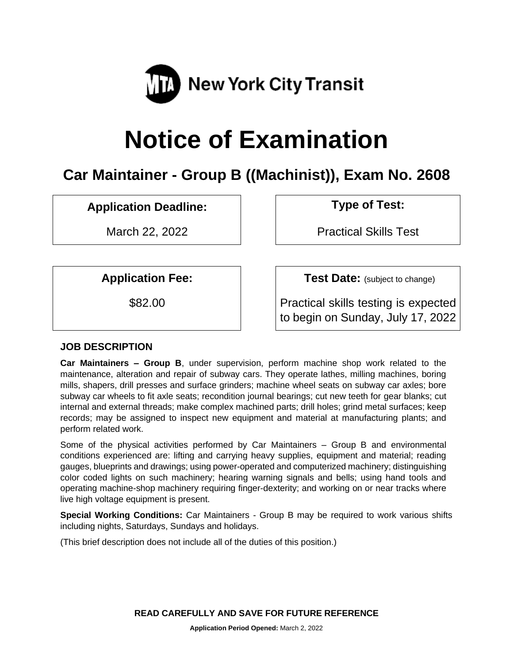

# **Notice of Examination**

# **Car Maintainer - Group B ((Machinist)), Exam No. 2608**

# **Application Deadline: Type of Test:**

March 22, 2022 **Practical Skills Test** 

**Application Fee:**  $\vert$  **Test Date:** (subject to change)

\$82.00 Practical skills testing is expected to begin on Sunday, July 17, 2022

#### **JOB DESCRIPTION**

**Car Maintainers – Group B**, under supervision, perform machine shop work related to the maintenance, alteration and repair of subway cars. They operate lathes, milling machines, boring mills, shapers, drill presses and surface grinders; machine wheel seats on subway car axles; bore subway car wheels to fit axle seats; recondition journal bearings; cut new teeth for gear blanks; cut internal and external threads; make complex machined parts; drill holes; grind metal surfaces; keep records; may be assigned to inspect new equipment and material at manufacturing plants; and perform related work.

Some of the physical activities performed by Car Maintainers – Group B and environmental conditions experienced are: lifting and carrying heavy supplies, equipment and material; reading gauges, blueprints and drawings; using power-operated and computerized machinery; distinguishing color coded lights on such machinery; hearing warning signals and bells; using hand tools and operating machine-shop machinery requiring finger-dexterity; and working on or near tracks where live high voltage equipment is present.

**Special Working Conditions:** Car Maintainers - Group B may be required to work various shifts including nights, Saturdays, Sundays and holidays.

(This brief description does not include all of the duties of this position.)

**READ CAREFULLY AND SAVE FOR FUTURE REFERENCE**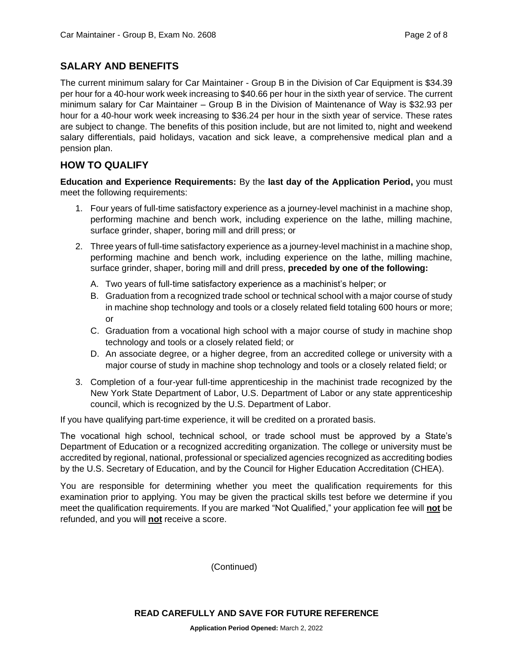#### **SALARY AND BENEFITS**

The current minimum salary for Car Maintainer - Group B in the Division of Car Equipment is \$34.39 per hour for a 40-hour work week increasing to \$40.66 per hour in the sixth year of service. The current minimum salary for Car Maintainer – Group B in the Division of Maintenance of Way is \$32.93 per hour for a 40-hour work week increasing to \$36.24 per hour in the sixth year of service. These rates are subject to change. The benefits of this position include, but are not limited to, night and weekend salary differentials, paid holidays, vacation and sick leave, a comprehensive medical plan and a pension plan.

## **HOW TO QUALIFY**

**Education and Experience Requirements:** By the **last day of the Application Period,** you must meet the following requirements:

- 1. Four years of full-time satisfactory experience as a journey-level machinist in a machine shop, performing machine and bench work, including experience on the lathe, milling machine, surface grinder, shaper, boring mill and drill press; or
- 2. Three years of full-time satisfactory experience as a journey-level machinist in a machine shop, performing machine and bench work, including experience on the lathe, milling machine, surface grinder, shaper, boring mill and drill press, **preceded by one of the following:**
	- A. Two years of full-time satisfactory experience as a machinist's helper; or
	- B. Graduation from a recognized trade school or technical school with a major course of study in machine shop technology and tools or a closely related field totaling 600 hours or more; or
	- C. Graduation from a vocational high school with a major course of study in machine shop technology and tools or a closely related field; or
	- D. An associate degree, or a higher degree, from an accredited college or university with a major course of study in machine shop technology and tools or a closely related field; or
- 3. Completion of a four-year full-time apprenticeship in the machinist trade recognized by the New York State Department of Labor, U.S. Department of Labor or any state apprenticeship council, which is recognized by the U.S. Department of Labor.

If you have qualifying part-time experience, it will be credited on a prorated basis.

The vocational high school, technical school, or trade school must be approved by a State's Department of Education or a recognized accrediting organization. The college or university must be accredited by regional, national, professional or specialized agencies recognized as accrediting bodies by the U.S. Secretary of Education, and by the Council for Higher Education Accreditation (CHEA).

You are responsible for determining whether you meet the qualification requirements for this examination prior to applying. You may be given the practical skills test before we determine if you meet the qualification requirements. If you are marked "Not Qualified," your application fee will **not** be refunded, and you will **not** receive a score.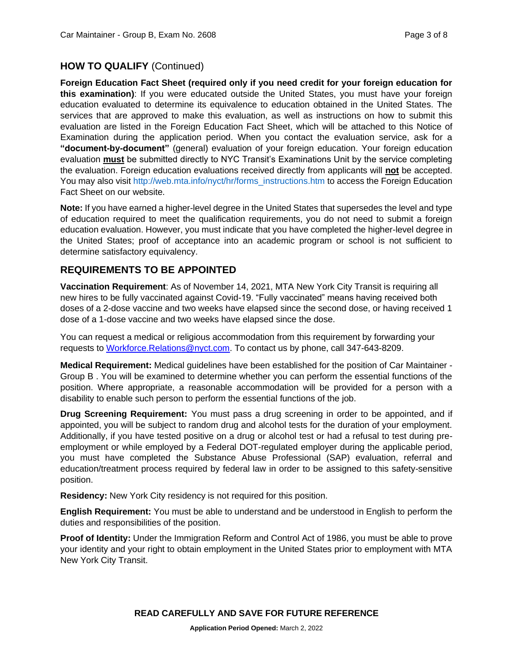#### **HOW TO QUALIFY** (Continued)

**Foreign Education Fact Sheet (required only if you need credit for your foreign education for this examination)**: If you were educated outside the United States, you must have your foreign education evaluated to determine its equivalence to education obtained in the United States. The services that are approved to make this evaluation, as well as instructions on how to submit this evaluation are listed in the Foreign Education Fact Sheet, which will be attached to this Notice of Examination during the application period. When you contact the evaluation service, ask for a **"document-by-document"** (general) evaluation of your foreign education. Your foreign education evaluation **must** be submitted directly to NYC Transit's Examinations Unit by the service completing the evaluation. Foreign education evaluations received directly from applicants will **not** be accepted. You may also visit [http://web.mta.info/nyct/hr/forms\\_instructions.htm](http://web.mta.info/nyct/hr/forms_instructions.htm) to access the Foreign Education Fact Sheet on our website.

**Note:** If you have earned a higher-level degree in the United States that supersedes the level and type of education required to meet the qualification requirements, you do not need to submit a foreign education evaluation. However, you must indicate that you have completed the higher-level degree in the United States; proof of acceptance into an academic program or school is not sufficient to determine satisfactory equivalency.

### **REQUIREMENTS TO BE APPOINTED**

**Vaccination Requirement**: As of November 14, 2021, MTA New York City Transit is requiring all new hires to be fully vaccinated against Covid-19. "Fully vaccinated" means having received both doses of a 2-dose vaccine and two weeks have elapsed since the second dose, or having received 1 dose of a 1-dose vaccine and two weeks have elapsed since the dose.

You can request a medical or religious accommodation from this requirement by forwarding your requests to [Workforce.Relations@nyct.com.](mailto:Workforce.Relations@nyct.com) To contact us by phone, call 347-643-8209.

**Medical Requirement:** Medical guidelines have been established for the position of Car Maintainer - Group B . You will be examined to determine whether you can perform the essential functions of the position. Where appropriate, a reasonable accommodation will be provided for a person with a disability to enable such person to perform the essential functions of the job.

**Drug Screening Requirement:** You must pass a drug screening in order to be appointed, and if appointed, you will be subject to random drug and alcohol tests for the duration of your employment. Additionally, if you have tested positive on a drug or alcohol test or had a refusal to test during preemployment or while employed by a Federal DOT-regulated employer during the applicable period, you must have completed the Substance Abuse Professional (SAP) evaluation, referral and education/treatment process required by federal law in order to be assigned to this safety-sensitive position.

**Residency:** New York City residency is not required for this position.

**English Requirement:** You must be able to understand and be understood in English to perform the duties and responsibilities of the position.

**Proof of Identity:** Under the Immigration Reform and Control Act of 1986, you must be able to prove your identity and your right to obtain employment in the United States prior to employment with MTA New York City Transit.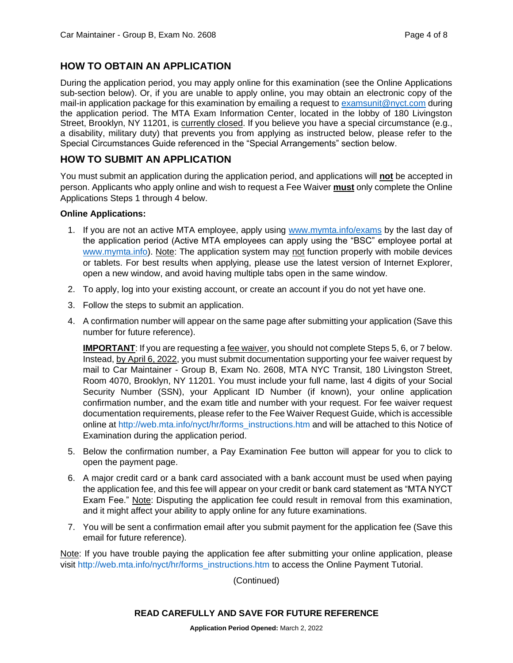#### **HOW TO OBTAIN AN APPLICATION**

During the application period, you may apply online for this examination (see the Online Applications sub-section below). Or, if you are unable to apply online, you may obtain an electronic copy of the mail-in application package for this examination by emailing a request to [examsunit@nyct.com](mailto:examsunit@nyct.com) during the application period. The MTA Exam Information Center, located in the lobby of 180 Livingston Street, Brooklyn, NY 11201, is currently closed. If you believe you have a special circumstance (e.g., a disability, military duty) that prevents you from applying as instructed below, please refer to the Special Circumstances Guide referenced in the "Special Arrangements" section below.

#### **HOW TO SUBMIT AN APPLICATION**

You must submit an application during the application period, and applications will **not** be accepted in person. Applicants who apply online and wish to request a Fee Waiver **must** only complete the Online Applications Steps 1 through 4 below.

#### **Online Applications:**

- 1. If you are not an active MTA employee, apply using [www.mymta.info/exams](http://www.mymta.info/exams) by the last day of the application period (Active MTA employees can apply using the "BSC" employee portal at [www.mymta.info\)](http://www.mymta.info/). Note: The application system may not function properly with mobile devices or tablets. For best results when applying, please use the latest version of Internet Explorer, open a new window, and avoid having multiple tabs open in the same window.
- 2. To apply, log into your existing account, or create an account if you do not yet have one.
- 3. Follow the steps to submit an application.
- 4. A confirmation number will appear on the same page after submitting your application (Save this number for future reference).

**IMPORTANT:** If you are requesting a fee waiver, you should not complete Steps 5, 6, or 7 below. Instead, by April 6, 2022, you must submit documentation supporting your fee waiver request by mail to Car Maintainer - Group B, Exam No. 2608, MTA NYC Transit, 180 Livingston Street, Room 4070, Brooklyn, NY 11201. You must include your full name, last 4 digits of your Social Security Number (SSN), your Applicant ID Number (if known), your online application confirmation number, and the exam title and number with your request. For fee waiver request documentation requirements, please refer to the Fee Waiver Request Guide, which is accessible online at [http://web.mta.info/nyct/hr/forms\\_instructions.htm](http://web.mta.info/nyct/hr/forms_instructions.htm) and will be attached to this Notice of Examination during the application period.

- 5. Below the confirmation number, a Pay Examination Fee button will appear for you to click to open the payment page.
- 6. A major credit card or a bank card associated with a bank account must be used when paying the application fee, and this fee will appear on your credit or bank card statement as "MTA NYCT Exam Fee." Note: Disputing the application fee could result in removal from this examination, and it might affect your ability to apply online for any future examinations.
- 7. You will be sent a confirmation email after you submit payment for the application fee (Save this email for future reference).

Note: If you have trouble paying the application fee after submitting your online application, please visit [http://web.mta.info/nyct/hr/forms\\_instructions.htm](http://web.mta.info/nyct/hr/forms_instructions.htm) to access the Online Payment Tutorial.

(Continued)

#### **READ CAREFULLY AND SAVE FOR FUTURE REFERENCE**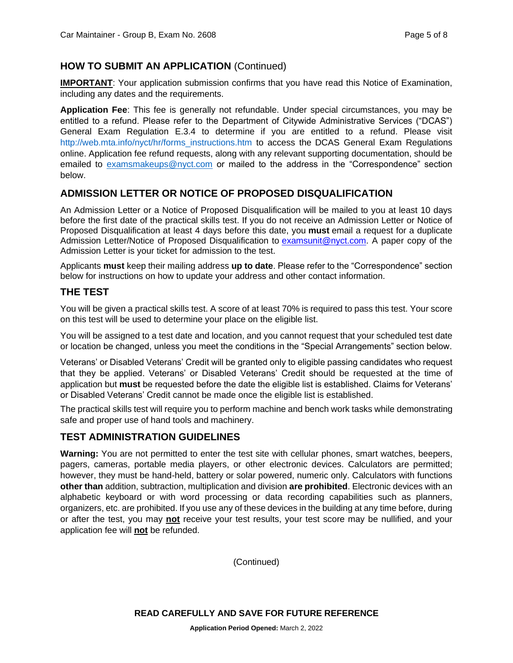## **HOW TO SUBMIT AN APPLICATION** (Continued)

**IMPORTANT:** Your application submission confirms that you have read this Notice of Examination, including any dates and the requirements.

**Application Fee**: This fee is generally not refundable. Under special circumstances, you may be entitled to a refund. Please refer to the Department of Citywide Administrative Services ("DCAS") General Exam Regulation E.3.4 to determine if you are entitled to a refund. Please visit [http://web.mta.info/nyct/hr/forms\\_instructions.htm](http://web.mta.info/nyct/hr/forms_instructions.htm) to access the DCAS General Exam Regulations online. Application fee refund requests, along with any relevant supporting documentation, should be emailed to [examsmakeups@nyct.com](mailto:examsmakeups@nyct.com) or mailed to the address in the "Correspondence" section below.

### **ADMISSION LETTER OR NOTICE OF PROPOSED DISQUALIFICATION**

An Admission Letter or a Notice of Proposed Disqualification will be mailed to you at least 10 days before the first date of the practical skills test. If you do not receive an Admission Letter or Notice of Proposed Disqualification at least 4 days before this date, you **must** email a request for a duplicate Admission Letter/Notice of Proposed Disqualification to [examsunit@nyct.com.](mailto:examsunit@nyct.com) A paper copy of the Admission Letter is your ticket for admission to the test.

Applicants **must** keep their mailing address **up to date**. Please refer to the "Correspondence" section below for instructions on how to update your address and other contact information.

#### **THE TEST**

You will be given a practical skills test. A score of at least 70% is required to pass this test. Your score on this test will be used to determine your place on the eligible list.

You will be assigned to a test date and location, and you cannot request that your scheduled test date or location be changed, unless you meet the conditions in the "Special Arrangements" section below.

Veterans' or Disabled Veterans' Credit will be granted only to eligible passing candidates who request that they be applied. Veterans' or Disabled Veterans' Credit should be requested at the time of application but **must** be requested before the date the eligible list is established. Claims for Veterans' or Disabled Veterans' Credit cannot be made once the eligible list is established.

The practical skills test will require you to perform machine and bench work tasks while demonstrating safe and proper use of hand tools and machinery.

#### **TEST ADMINISTRATION GUIDELINES**

**Warning:** You are not permitted to enter the test site with cellular phones, smart watches, beepers, pagers, cameras, portable media players, or other electronic devices. Calculators are permitted; however, they must be hand-held, battery or solar powered, numeric only. Calculators with functions **other than** addition, subtraction, multiplication and division **are prohibited**. Electronic devices with an alphabetic keyboard or with word processing or data recording capabilities such as planners, organizers, etc. are prohibited. If you use any of these devices in the building at any time before, during or after the test, you may **not** receive your test results, your test score may be nullified, and your application fee will **not** be refunded.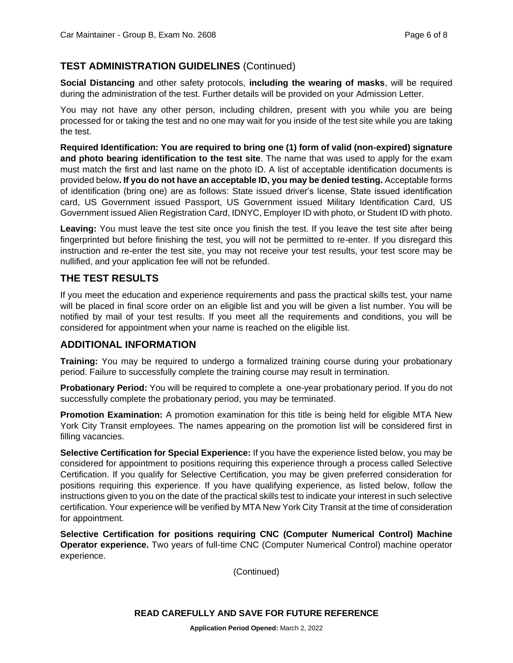## **TEST ADMINISTRATION GUIDELINES** (Continued)

**Social Distancing** and other safety protocols, **including the wearing of masks**, will be required during the administration of the test. Further details will be provided on your Admission Letter.

You may not have any other person, including children, present with you while you are being processed for or taking the test and no one may wait for you inside of the test site while you are taking the test.

**Required Identification: You are required to bring one (1) form of valid (non-expired) signature and photo bearing identification to the test site**. The name that was used to apply for the exam must match the first and last name on the photo ID. A list of acceptable identification documents is provided below**. If you do not have an acceptable ID, you may be denied testing.** Acceptable forms of identification (bring one) are as follows: State issued driver's license, State issued identification card, US Government issued Passport, US Government issued Military Identification Card, US Government issued Alien Registration Card, IDNYC, Employer ID with photo, or Student ID with photo.

**Leaving:** You must leave the test site once you finish the test. If you leave the test site after being fingerprinted but before finishing the test, you will not be permitted to re-enter. If you disregard this instruction and re-enter the test site, you may not receive your test results, your test score may be nullified, and your application fee will not be refunded.

### **THE TEST RESULTS**

If you meet the education and experience requirements and pass the practical skills test, your name will be placed in final score order on an eligible list and you will be given a list number. You will be notified by mail of your test results. If you meet all the requirements and conditions, you will be considered for appointment when your name is reached on the eligible list.

#### **ADDITIONAL INFORMATION**

**Training:** You may be required to undergo a formalized training course during your probationary period. Failure to successfully complete the training course may result in termination.

**Probationary Period:** You will be required to complete a one-year probationary period. If you do not successfully complete the probationary period, you may be terminated.

**Promotion Examination:** A promotion examination for this title is being held for eligible MTA New York City Transit employees. The names appearing on the promotion list will be considered first in filling vacancies.

**Selective Certification for Special Experience:** If you have the experience listed below, you may be considered for appointment to positions requiring this experience through a process called Selective Certification. If you qualify for Selective Certification, you may be given preferred consideration for positions requiring this experience. If you have qualifying experience, as listed below, follow the instructions given to you on the date of the practical skills test to indicate your interest in such selective certification. Your experience will be verified by MTA New York City Transit at the time of consideration for appointment.

**Selective Certification for positions requiring CNC (Computer Numerical Control) Machine Operator experience.** Two years of full-time CNC (Computer Numerical Control) machine operator experience.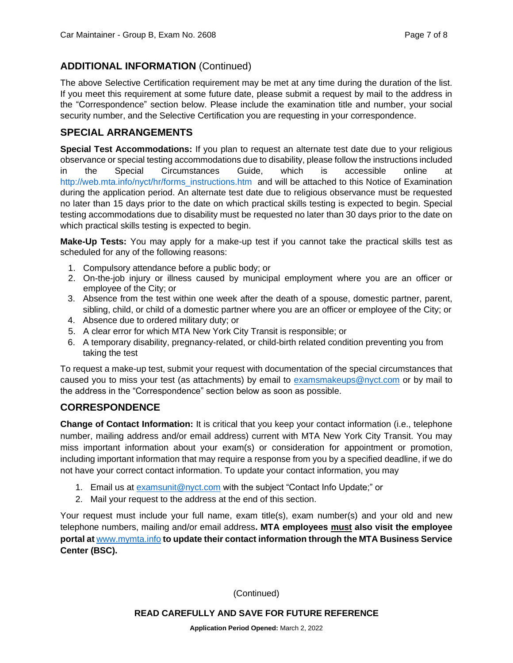## **ADDITIONAL INFORMATION** (Continued)

The above Selective Certification requirement may be met at any time during the duration of the list. If you meet this requirement at some future date, please submit a request by mail to the address in the "Correspondence" section below. Please include the examination title and number, your social security number, and the Selective Certification you are requesting in your correspondence.

#### **SPECIAL ARRANGEMENTS**

**Special Test Accommodations:** If you plan to request an alternate test date due to your religious observance or special testing accommodations due to disability, please follow the instructions included in the Special Circumstances Guide, which is accessible online at [http://web.mta.info/nyct/hr/forms\\_instructions.htm](http://web.mta.info/nyct/hr/forms_instructions.htm) and will be attached to this Notice of Examination during the application period. An alternate test date due to religious observance must be requested no later than 15 days prior to the date on which practical skills testing is expected to begin. Special testing accommodations due to disability must be requested no later than 30 days prior to the date on which practical skills testing is expected to begin.

**Make-Up Tests:** You may apply for a make-up test if you cannot take the practical skills test as scheduled for any of the following reasons:

- 1. Compulsory attendance before a public body; or
- 2. On-the-job injury or illness caused by municipal employment where you are an officer or employee of the City; or
- 3. Absence from the test within one week after the death of a spouse, domestic partner, parent, sibling, child, or child of a domestic partner where you are an officer or employee of the City; or
- 4. Absence due to ordered military duty; or
- 5. A clear error for which MTA New York City Transit is responsible; or
- 6. A temporary disability, pregnancy-related, or child-birth related condition preventing you from taking the test

To request a make-up test, submit your request with documentation of the special circumstances that caused you to miss your test (as attachments) by email to [examsmakeups@nyct.com](mailto:examsmakeups@nyct.com) or by mail to the address in the "Correspondence" section below as soon as possible.

#### **CORRESPONDENCE**

**Change of Contact Information:** It is critical that you keep your contact information (i.e., telephone number, mailing address and/or email address) current with MTA New York City Transit. You may miss important information about your exam(s) or consideration for appointment or promotion, including important information that may require a response from you by a specified deadline, if we do not have your correct contact information. To update your contact information, you may

- 1. Email us at [examsunit@nyct.com](mailto:examsunit@nyct.com) with the subject "Contact Info Update;" or
- 2. Mail your request to the address at the end of this section.

Your request must include your full name, exam title(s), exam number(s) and your old and new telephone numbers, mailing and/or email address**. MTA employees must also visit the employee portal at** [www.mymta.info](http://www.mymta.info/) **to update their contact information through the MTA Business Service Center (BSC).**